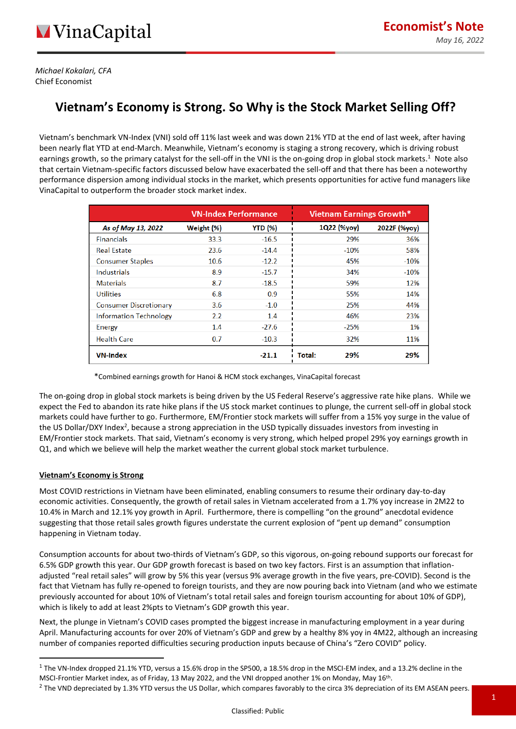*Michael Kokalari, CFA* Chief Economist

# **Vietnam's Economy is Strong. So Why is the Stock Market Selling Off?**

Vietnam's benchmark VN-Index (VNI) sold off 11% last week and was down 21% YTD at the end of last week, after having been nearly flat YTD at end-March. Meanwhile, Vietnam's economy is staging a strong recovery, which is driving robust earnings growth, so the primary catalyst for the sell-off in the VNI is the on-going drop in global stock markets.<sup>1</sup> Note also that certain Vietnam-specific factors discussed below have exacerbated the sell-off and that there has been a noteworthy performance dispersion among individual stocks in the market, which presents opportunities for active fund managers like VinaCapital to outperform the broader stock market index.

|                               | <b>VN-Index Performance</b> |                | <b>Vietnam Earnings Growth*</b> |              |
|-------------------------------|-----------------------------|----------------|---------------------------------|--------------|
| As of May 13, 2022            | Weight (%)                  | <b>YTD (%)</b> | 1Q22 (%yoy)                     | 2022F (%yoy) |
| <b>Financials</b>             | 33.3                        | $-16.5$        | 29%                             | 36%          |
| <b>Real Estate</b>            | 23.6                        | $-14.4$        | $-10%$                          | 58%          |
| <b>Consumer Staples</b>       | 10.6                        | $-12.2$        | 45%                             | $-10%$       |
| Industrials                   | 8.9                         | $-15.7$        | 34%                             | $-10%$       |
| <b>Materials</b>              | 8.7                         | $-18.5$        | 59%                             | 12%          |
| <b>Utilities</b>              | 6.8                         | 0.9            | 55%                             | 14%          |
| <b>Consumer Discretionary</b> | 3.6                         | $-1.0$         | 25%                             | 44%          |
| <b>Information Technology</b> | $2.2\phantom{0}$            | 1.4            | 46%                             | 23%          |
| Energy                        | $1.4\,$                     | $-27.6$        | $-25%$                          | 1%           |
| <b>Health Care</b>            | 0.7                         | $-10.3$        | 32%                             | 11%          |
| <b>VN-Index</b>               |                             | $-21.1$        | 29%<br>Total:                   | 29%          |

\*Combined earnings growth for Hanoi & HCM stock exchanges, VinaCapital forecast

The on-going drop in global stock markets is being driven by the US Federal Reserve's aggressive rate hike plans. While we expect the Fed to abandon its rate hike plans if the US stock market continues to plunge, the current sell-off in global stock markets could have further to go. Furthermore, EM/Frontier stock markets will suffer from a 15% yoy surge in the value of the US Dollar/DXY Index<sup>2</sup>, because a strong appreciation in the USD typically dissuades investors from investing in EM/Frontier stock markets. That said, Vietnam's economy is very strong, which helped propel 29% yoy earnings growth in Q1, and which we believe will help the market weather the current global stock market turbulence.

# **Vietnam's Economy is Strong**

Most COVID restrictions in Vietnam have been eliminated, enabling consumers to resume their ordinary day-to-day economic activities. Consequently, the growth of retail sales in Vietnam accelerated from a 1.7% yoy increase in 2M22 to 10.4% in March and 12.1% yoy growth in April. Furthermore, there is compelling "on the ground" anecdotal evidence suggesting that those retail sales growth figures understate the current explosion of "pent up demand" consumption happening in Vietnam today.

Consumption accounts for about two-thirds of Vietnam's GDP, so this vigorous, on-going rebound supports our forecast for 6.5% GDP growth this year. Our GDP growth forecast is based on two key factors. First is an assumption that inflationadjusted "real retail sales" will grow by 5% this year (versus 9% average growth in the five years, pre-COVID). Second is the fact that Vietnam has fully re-opened to foreign tourists, and they are now pouring back into Vietnam (and who we estimate previously accounted for about 10% of Vietnam's total retail sales and foreign tourism accounting for about 10% of GDP), which is likely to add at least 2%pts to Vietnam's GDP growth this year.

Next, the plunge in Vietnam's COVID cases prompted the biggest increase in manufacturing employment in a year during April. Manufacturing accounts for over 20% of Vietnam's GDP and grew by a healthy 8% yoy in 4M22, although an increasing number of companies reported difficulties securing production inputs because of China's "Zero COVID" policy.

 $1$  The VN-Index dropped 21.1% YTD, versus a 15.6% drop in the SP500, a 18.5% drop in the MSCI-EM index, and a 13.2% decline in the MSCI-Frontier Market index, as of Friday, 13 May 2022, and the VNI dropped another 1% on Monday, May 16<sup>th</sup>.

 $^2$  The VND depreciated by 1.3% YTD versus the US Dollar, which compares favorably to the circa 3% depreciation of its EM ASEAN peers.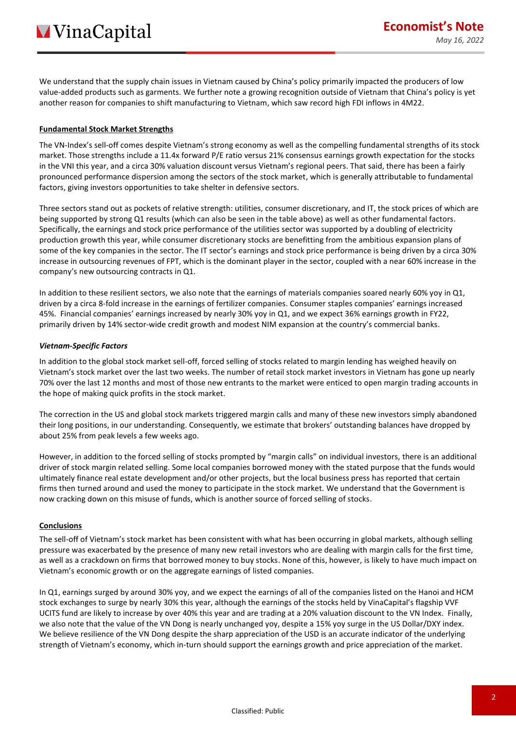We understand that the supply chain issues in Vietnam caused by China's policy primarily impacted the producers of low value-added products such as garments. We further note a growing recognition outside of Vietnam that China's policy is yet another reason for companies to shift manufacturing to Vietnam, which saw record high FDI inflows in 4M22.

### **Fundamental Stock Market Strengths**

The VN-Index's sell-off comes despite Vietnam's strong economy as well as the compelling fundamental strengths of its stock market. Those strengths include a 11.4x forward P/E ratio versus 21% consensus earnings growth expectation for the stocks in the VNI this year, and a circa 30% valuation discount versus Vietnam's regional peers. That said, there has been a fairly pronounced performance dispersion among the sectors of the stock market, which is generally attributable to fundamental factors, giving investors opportunities to take shelter in defensive sectors.

Three sectors stand out as pockets of relative strength: utilities, consumer discretionary, and IT, the stock prices of which are being supported by strong Q1 results (which can also be seen in the table above) as well as other fundamental factors. Specifically, the earnings and stock price performance of the utilities sector was supported by a doubling of electricity production growth this year, while consumer discretionary stocks are benefitting from the ambitious expansion plans of some of the key companies in the sector. The IT sector's earnings and stock price performance is being driven by a circa 30% increase in outsourcing revenues of FPT, which is the dominant player in the sector, coupled with a near 60% increase in the company's new outsourcing contracts in Q1.

In addition to these resilient sectors, we also note that the earnings of materials companies soared nearly 60% yoy in Q1, driven by a circa 8-fold increase in the earnings of fertilizer companies. Consumer staples companies' earnings increased 45%. Financial companies' earnings increased by nearly 30% yoy in Q1, and we expect 36% earnings growth in FY22, primarily driven by 14% sector-wide credit growth and modest NIM expansion at the country's commercial banks.

#### *Vietnam-Specific Factors*

In addition to the global stock market sell-off, forced selling of stocks related to margin lending has weighed heavily on Vietnam's stock market over the last two weeks. The number of retail stock market investors in Vietnam has gone up nearly 70% over the last 12 months and most of those new entrants to the market were enticed to open margin trading accounts in the hope of making quick profits in the stock market.

The correction in the US and global stock markets triggered margin calls and many of these new investors simply abandoned their long positions, in our understanding. Consequently, we estimate that brokers' outstanding balances have dropped by about 25% from peak levels a few weeks ago.

However, in addition to the forced selling of stocks prompted by "margin calls" on individual investors, there is an additional driver of stock margin related selling. Some local companies borrowed money with the stated purpose that the funds would ultimately finance real estate development and/or other projects, but the local business press has reported that certain firms then turned around and used the money to participate in the stock market. We understand that the Government is now cracking down on this misuse of funds, which is another source of forced selling of stocks.

# **Conclusions**

The sell-off of Vietnam's stock market has been consistent with what has been occurring in global markets, although selling pressure was exacerbated by the presence of many new retail investors who are dealing with margin calls for the first time, as well as a crackdown on firms that borrowed money to buy stocks. None of this, however, is likely to have much impact on Vietnam's economic growth or on the aggregate earnings of listed companies.

In Q1, earnings surged by around 30% yoy, and we expect the earnings of all of the companies listed on the Hanoi and HCM stock exchanges to surge by nearly 30% this year, although the earnings of the stocks held by VinaCapital's flagship VVF UCITS fund are likely to increase by over 40% this year and are trading at a 20% valuation discount to the VN Index. Finally, we also note that the value of the VN Dong is nearly unchanged yoy, despite a 15% yoy surge in the US Dollar/DXY index. We believe resilience of the VN Dong despite the sharp appreciation of the USD is an accurate indicator of the underlying strength of Vietnam's economy, which in-turn should support the earnings growth and price appreciation of the market.